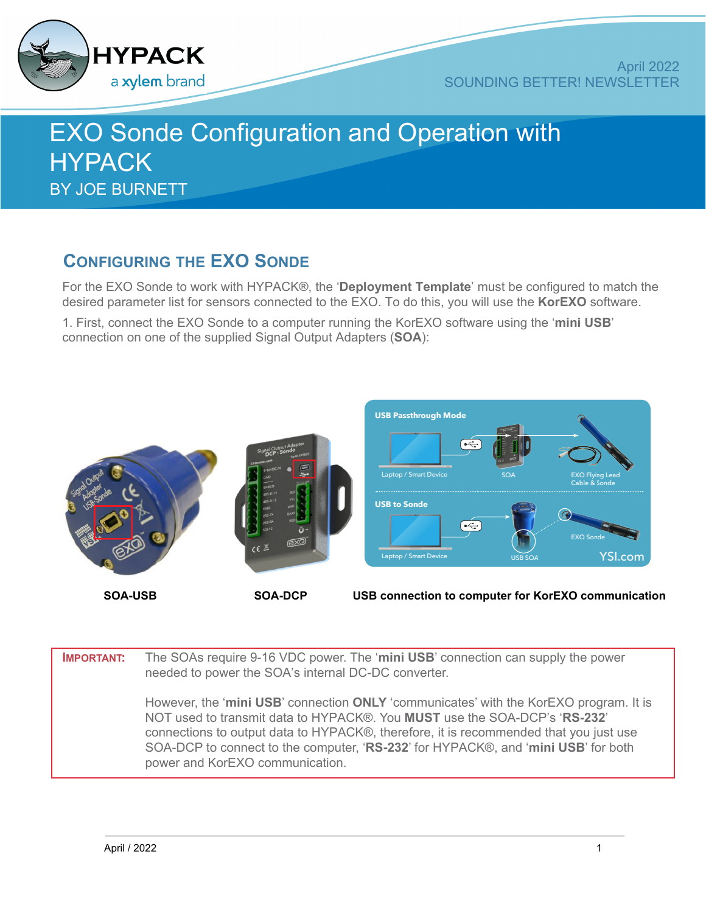

## EXO Sonde Configuration and Operation with **HYPACK** BY JOE BURNETT

## **CONFIGURING THE EXO SONDE**

For the EXO Sonde to work with HYPACK®, the '**Deployment Template**' must be configured to match the desired parameter list for sensors connected to the EXO. To do this, you will use the **KorEXO** software.

1. First, connect the EXO Sonde to a computer running the KorEXO software using the '**mini USB**' connection on one of the supplied Signal Output Adapters (**SOA**):



| <b>IMPORTANT:</b> | The SOAs require 9-16 VDC power. The 'mini USB' connection can supply the power<br>needed to power the SOA's internal DC-DC converter.                                                                                                                                                                                                                                              |
|-------------------|-------------------------------------------------------------------------------------------------------------------------------------------------------------------------------------------------------------------------------------------------------------------------------------------------------------------------------------------------------------------------------------|
|                   | However, the 'mini USB' connection ONLY 'communicates' with the KorEXO program. It is<br>NOT used to transmit data to HYPACK®. You MUST use the SOA-DCP's 'RS-232'<br>connections to output data to HYPACK®, therefore, it is recommended that you just use<br>SOA-DCP to connect to the computer, 'RS-232' for HYPACK®, and 'mini USB' for both<br>power and KorEXO communication. |
|                   |                                                                                                                                                                                                                                                                                                                                                                                     |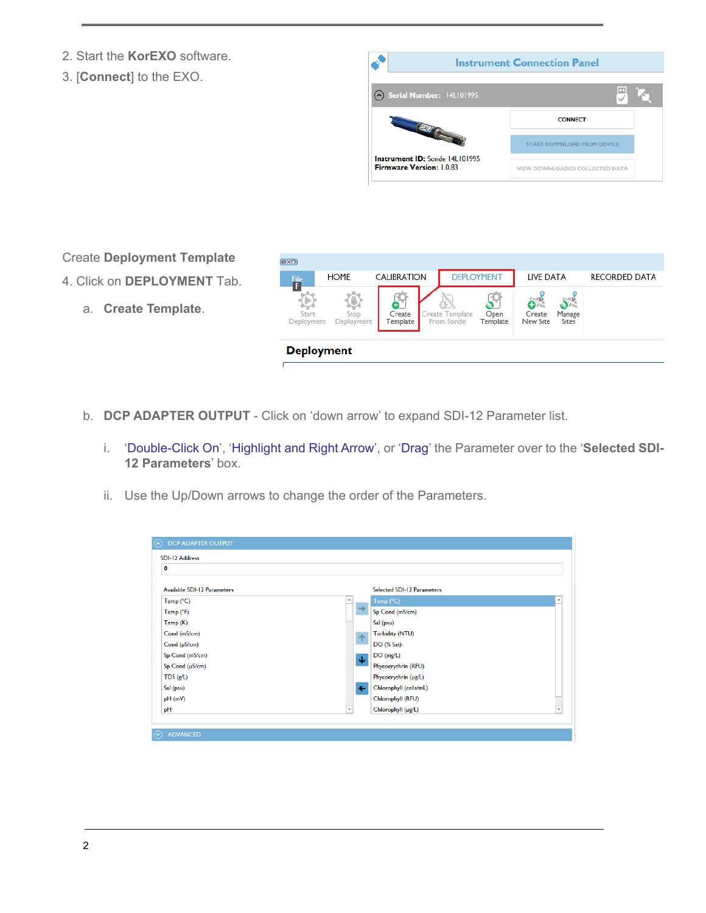- 2. Start the **KorEXO** software.
- 3. [**Connect**] to the EXO.



Create **Deployment Template**

- 4. Click on **DEPLOYMENT** Tab.
	- a. **Create Template**.

- b. **DCP ADAPTER OUTPUT** Click on 'down arrow' to expand SDI-12 Parameter list.
	- i. 'Double-Click On', 'Highlight and Right Arrow', or 'Drag' the Parameter over to the '**Selected SDI-12 Parameters**' box.
	- ii. Use the Up/Down arrows to change the order of the Parameters.

| $\bullet$                          |                          |                                                |
|------------------------------------|--------------------------|------------------------------------------------|
| <b>Available SDI-12 Parameters</b> |                          | <b>Selected SDI-12 Parameters</b>              |
| Temp (°C)                          |                          | $\blacktriangle$<br>Temp (°C)                  |
| Temp (°F)                          | $\rightarrow$            | Sp Cond (mS/cm)                                |
| Temp(K)                            |                          | Sal (psu)                                      |
| Cond (mS/cm)                       |                          | <b>Turbidity (NTU)</b>                         |
| Cond $(\mu S/cm)$                  | 个                        | DO (% Sat)                                     |
| Sp Cond (mS/cm)                    | Φ                        | DO (mg/L)                                      |
| Sp Cond (µS/cm)                    |                          | Phycoerythrin (RFU)                            |
| TDS $(g/L)$                        |                          | Phycoerythrin (µg/L)                           |
| Sal (psu)                          | $\leftarrow$             | Chlorophyll (cells/mL)                         |
| pH(mV)                             |                          | Chlorophyll (RFU)                              |
| pH                                 | $\overline{\phantom{a}}$ | $\overline{\phantom{0}}$<br>Chlorophyll (µg/L) |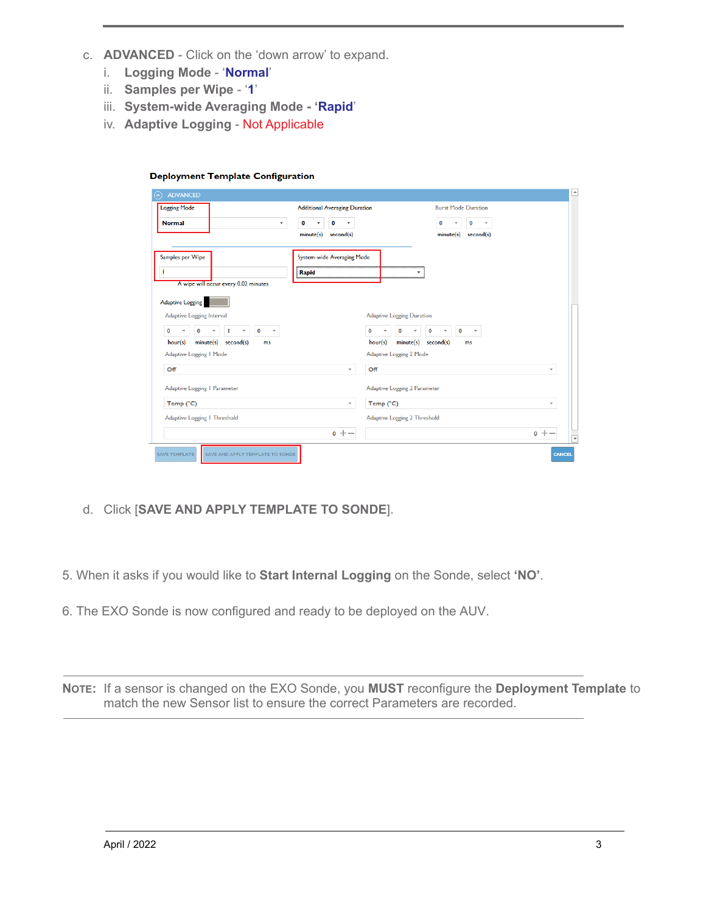- c. **ADVANCED** Click on the 'down arrow' to expand.
	- i. **Logging Mode** '**Normal**'
	- ii. **Samples per Wipe** '**1**'
	- iii. **System-wide Averaging Mode 'Rapid**'

**Deployment Template Configuration** 

iv. **Adaptive Logging** - Not Applicable

| <b>Logging Mode</b>                                                 | <b>Additional Averaging Duration</b> | <b>Burst Mode Duration</b>                                                    |                          |
|---------------------------------------------------------------------|--------------------------------------|-------------------------------------------------------------------------------|--------------------------|
| <b>Normal</b><br>$\blacktriangledown$                               | 0<br>o<br>۰<br>۰                     | $\mathbf 0$<br>0<br>$\overline{\mathbf v}$<br>$\overline{\mathbf{v}}$         |                          |
|                                                                     | minute(s)<br>second(s)               | minute(s) second(s)                                                           |                          |
| Samples per Wipe                                                    | System-wide Averaging Mode           |                                                                               |                          |
|                                                                     | Rapid                                |                                                                               |                          |
| A wipe will occur every 0.02 minutes                                |                                      |                                                                               |                          |
| <b>Adaptive Logging</b>                                             |                                      |                                                                               |                          |
| Adaptive Logging Interval                                           |                                      | <b>Adaptive Logging Duration</b>                                              |                          |
| 0<br>0<br>0<br>$\overline{\phantom{a}}$<br>$\overline{\phantom{a}}$ | 0                                    | $\mathbf 0$<br>0<br>0<br>$\overline{\phantom{a}}$<br>$\overline{\phantom{a}}$ |                          |
| minute(s)<br>second(s)<br>hour(s)<br>ms                             | hour(s)                              | minute(s) second(s)<br>ms                                                     |                          |
| Adaptive Logging   Mode                                             |                                      | <b>Adaptive Logging 2 Mode</b>                                                |                          |
| Off                                                                 | Off<br>v                             |                                                                               | $\overline{\phantom{a}}$ |
|                                                                     |                                      |                                                                               |                          |
| Adaptive Logging   Parameter                                        |                                      | <b>Adaptive Logging 2 Parameter</b>                                           |                          |
| Temp (°C)                                                           | Temp (°C)<br>$\overline{\mathbf v}$  |                                                                               | $\overline{\phantom{a}}$ |
| Adaptive Logging   Threshold                                        |                                      | <b>Adaptive Logging 2 Threshold</b>                                           |                          |

d. Click [**SAVE AND APPLY TEMPLATE TO SONDE**].

5. When it asks if you would like to **Start Internal Logging** on the Sonde, select **'NO'**.

6. The EXO Sonde is now configured and ready to be deployed on the AUV.

**NOTE:** If a sensor is changed on the EXO Sonde, you **MUST** reconfigure the **Deployment Template** to match the new Sensor list to ensure the correct Parameters are recorded.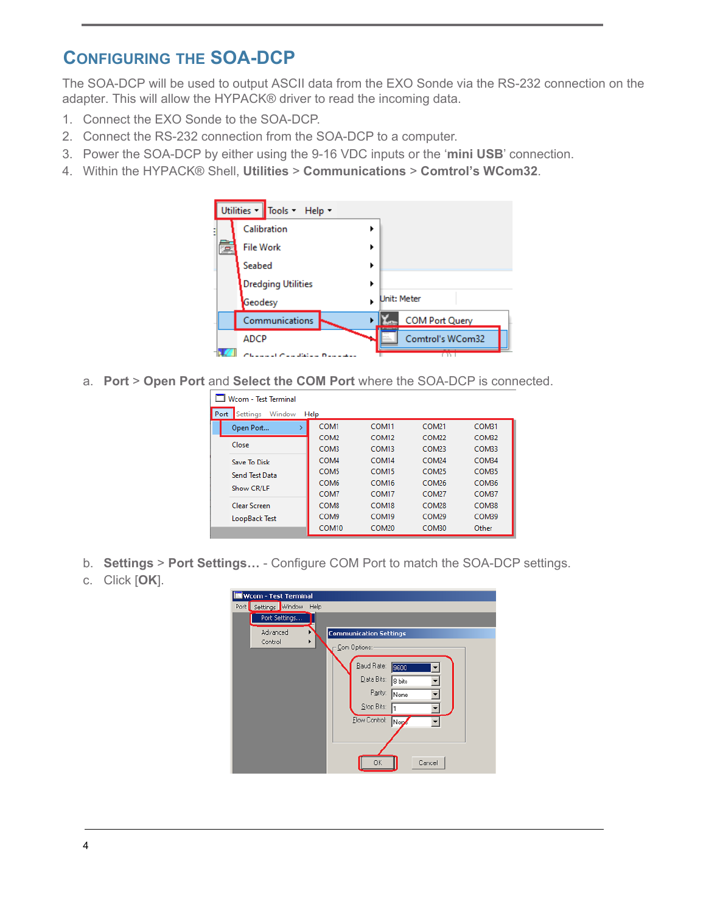## **CONFIGURING THE SOA-DCP**

The SOA-DCP will be used to output ASCII data from the EXO Sonde via the RS-232 connection on the adapter. This will allow the HYPACK® driver to read the incoming data.

- 1. Connect the EXO Sonde to the SOA-DCP.
- 2. Connect the RS-232 connection from the SOA-DCP to a computer.
- 3. Power the SOA-DCP by either using the 9-16 VDC inputs or the '**mini USB**' connection.
- 4. Within the HYPACK® Shell, **Utilities** > **Communications** > **Comtrol's WCom32**.



a. **Port** > **Open Port** and **Select the COM Port** where the SOA-DCP is connected.

| Wrom - Test Terminal |                                    |                   |                   |                   |              |  |
|----------------------|------------------------------------|-------------------|-------------------|-------------------|--------------|--|
|                      | Port<br>Settings<br>Window<br>Help |                   |                   |                   |              |  |
|                      | Open Port                          | COM1              | COM <sub>11</sub> | COM <sub>21</sub> | COM31        |  |
|                      |                                    | COM <sub>2</sub>  | COM <sub>12</sub> | COM <sub>22</sub> | COM32        |  |
|                      | Close                              | COM3              | COM <sub>13</sub> | <b>COM23</b>      | COM33        |  |
|                      | Save To Disk                       | COM4              | COM <sub>14</sub> | <b>COM24</b>      | COM34        |  |
|                      | Send Test Data                     | COM5              | COM <sub>15</sub> | <b>COM25</b>      | COM35        |  |
|                      | Show CR/LF                         | COM <sub>6</sub>  | COM <sub>16</sub> | <b>COM26</b>      | COM36        |  |
|                      |                                    | COM7              | COM <sub>17</sub> | <b>COM27</b>      | COM37        |  |
|                      | <b>Clear Screen</b>                | COM <sub>8</sub>  | COM <sub>18</sub> | COM <sub>28</sub> | COM38        |  |
|                      | LoopBack Test                      | COM9              | COM <sub>19</sub> | COM <sub>29</sub> | <b>COM39</b> |  |
|                      |                                    | COM <sub>10</sub> | COM <sub>20</sub> | COM30             | Other        |  |

- b. **Settings** > **Port Settings…** Configure COM Port to match the SOA-DCP settings.
- c. Click [**OK**].

| <b>Wcom - Test Terminal</b>               |
|-------------------------------------------|
| Port   Settings   Window<br>Help          |
| Port Settings                             |
| Advanced<br><b>Communication Settings</b> |
| Control<br>▶<br>Com Options:              |
|                                           |
| Baud Rate:<br>9600                        |
| Data Bits:<br>8 bits                      |
| Parity:<br>None                           |
| Stop Bits:                                |
| Flow Control:<br>Nop                      |
|                                           |
|                                           |
|                                           |
| Cancel<br><b>OK</b>                       |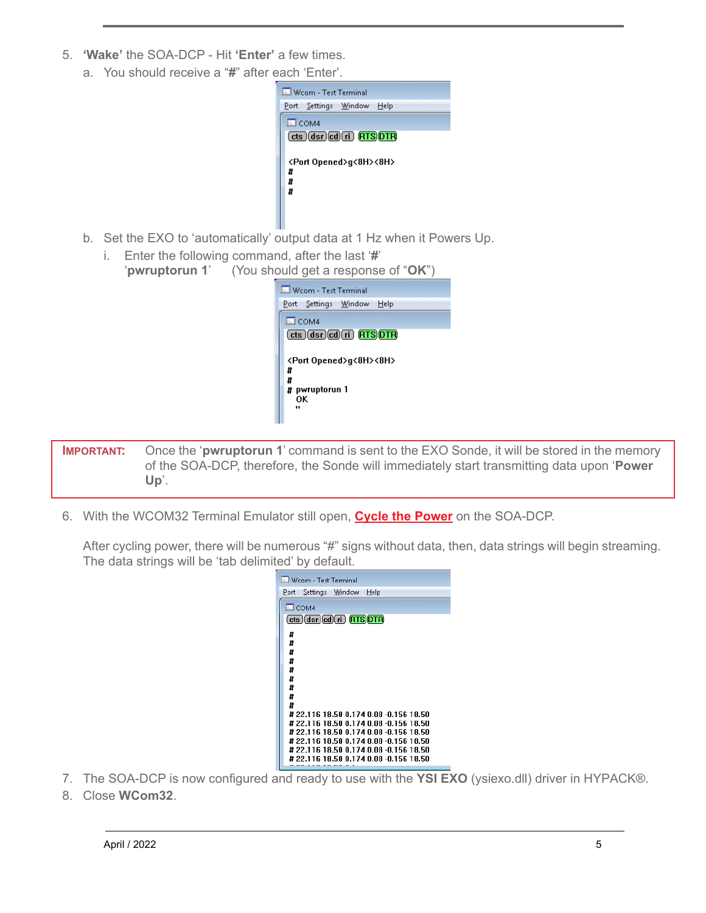- 5. **'Wake'** the SOA-DCP Hit **'Enter'** a few times.
	- a. You should receive a "**#**" after each 'Enter'.



- b. Set the EXO to 'automatically' output data at 1 Hz when it Powers Up.
	- i. Enter the following command, after the last '**#**' '**pwruptorun 1**' (You should get a response of "**OK**")

| Wcom - Test Terminal                                                                    |
|-----------------------------------------------------------------------------------------|
| Port Settings Window<br>Help                                                            |
| $\Box$ COM4                                                                             |
| $(cts)(dsr)(cd)(ri)$ (RTS) $\overline{DTR}$                                             |
| <port opened="">g&lt;8H&gt;&lt;8H&gt;<br/>Ħ<br/>Ħ<br/># pwruptorun 1<br/>OΚ<br/></port> |

**IMPORTANT:** Once the 'pwruptorun 1' command is sent to the EXO Sonde, it will be stored in the memory of the SOA-DCP, therefore, the Sonde will immediately start transmitting data upon '**Power Up**'.

6. With the WCOM32 Terminal Emulator still open, **Cycle the Power** on the SOA-DCP.

After cycling power, there will be numerous "#" signs without data, then, data strings will begin streaming. The data strings will be 'tab delimited' by default.

| Wcom - Test Terminal                                                            |
|---------------------------------------------------------------------------------|
| Settings Window<br>Help<br>Port                                                 |
| $\square$ COM4                                                                  |
| (cts )(dsr)(cd)(ri)  RTS)DTR)                                                   |
| #                                                                               |
| Ħ                                                                               |
| Ħ                                                                               |
| #                                                                               |
| Ħ<br>Ħ                                                                          |
| Ħ                                                                               |
| #                                                                               |
| Ħ                                                                               |
| # 22.116 18.50 0.174 0.08 -0.156 18.50<br>#22.116 18.50 0.174 0.08 -0.156 18.50 |
| # 22.116 18.50 0.174 0.08 -0.156 18.50                                          |
| # 22.116 18.50 0.174 0.08 -0.156 18.50                                          |
| # 22.116 18.50 0.174 0.08 -0.156 18.50                                          |
| # 22.116 18.50 0.174 0.08 -0.156 18.50                                          |
|                                                                                 |

- 7. The SOA-DCP is now configured and ready to use with the **YSI EXO** (ysiexo.dll) driver in HYPACK®.
- 8. Close **WCom32**.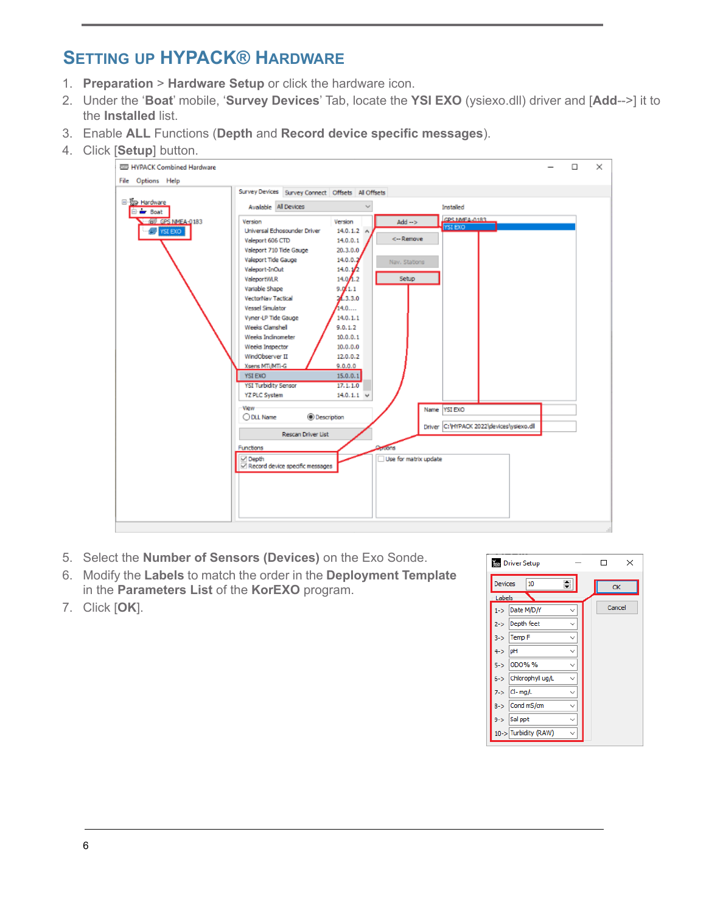## **SETTING UP HYPACK® HARDWARE**

- 1. **Preparation** > **Hardware Setup** or click the hardware icon.
- 2. Under the '**Boat**' mobile, '**Survey Devices**' Tab, locate the **YSI EXO** (ysiexo.dll) driver and [**Add**-->] it to the **Installed** list.
- 3. Enable **ALL** Functions (**Depth** and **Record device specific messages**).
- 4. Click [**Setup**] button.



- 5. Select the **Number of Sensors (Devices)** on the Exo Sonde.
- 6. Modify the **Labels** to match the order in the **Deployment Template** in the **Parameters List** of the **KorEXO** program.
- 7. Click [**OK**].

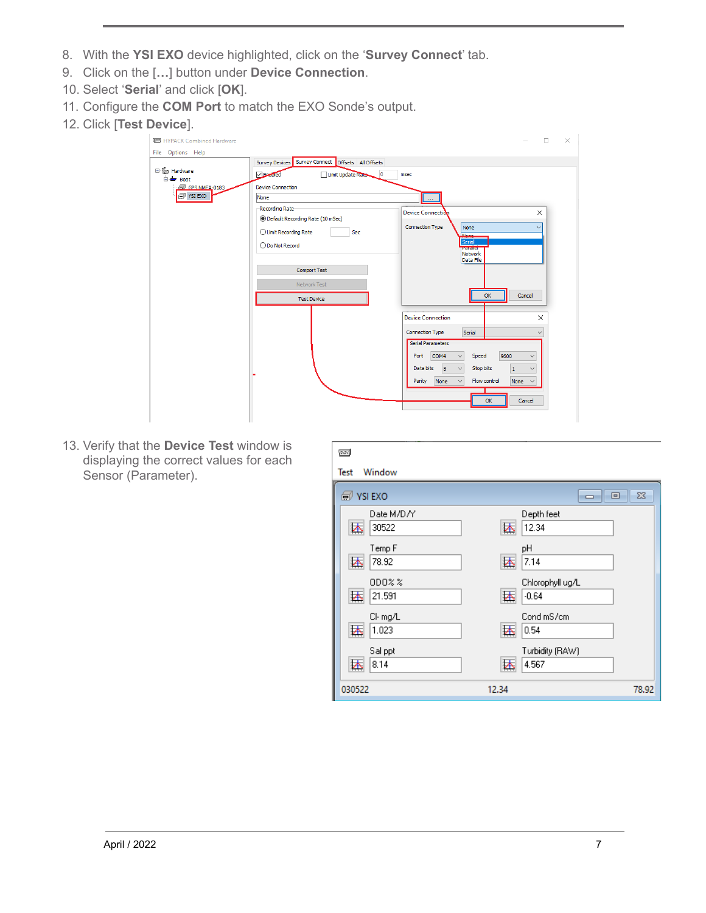- 8. With the **YSI EXO** device highlighted, click on the '**Survey Connect**' tab.
- 9. Click on the [**…**] button under **Device Connection**.
- 10. Select '**Serial**' and click [**OK**].
- 11. Configure the **COM Port** to match the EXO Sonde's output.
- 12. Click [**Test Device**].

| <b>REED</b> HYPACK Combined Hardware          |                                                                                                                 | $\times$<br>$\Box$                                                                                                                                                                                                                                                  |
|-----------------------------------------------|-----------------------------------------------------------------------------------------------------------------|---------------------------------------------------------------------------------------------------------------------------------------------------------------------------------------------------------------------------------------------------------------------|
| File Options Help                             | Survey Devices Survey Connect Offsets All Offsets                                                               |                                                                                                                                                                                                                                                                     |
| □<br>B Hardware<br><b>E</b> <del>■</del> Boat | Endbled<br>Limit Update Rate<br>$\circ$                                                                         | msec                                                                                                                                                                                                                                                                |
| GPS NMFA-0183                                 | <b>Device Connection</b>                                                                                        |                                                                                                                                                                                                                                                                     |
| $\circ$ YSI EXO                               | None                                                                                                            | $\sim$                                                                                                                                                                                                                                                              |
|                                               | Recording Rate<br><b>O</b> Default Recording Rate (10 mSec)<br>◯ Limit Recording Rate<br>Sec<br>◯ Do Not Record | $\times$<br>Device Connection<br><b>Connection Type</b><br>None<br>$\checkmark$<br><b>None</b><br>Serial<br><b>Paraller</b><br>Network                                                                                                                              |
|                                               | Comport Test<br>Network Test<br><b>Test Device</b>                                                              | Data File<br>OK<br>Cancel                                                                                                                                                                                                                                           |
|                                               |                                                                                                                 | <b>Device Connection</b><br>$\times$                                                                                                                                                                                                                                |
|                                               |                                                                                                                 | Connection Type<br>Serial<br>$\checkmark$                                                                                                                                                                                                                           |
|                                               |                                                                                                                 | <b>Serial Parameters</b><br>9600<br>COM4<br>Speed<br>Port<br>$\checkmark$<br>$\checkmark$<br> 8<br>Stop bits<br>Data bits<br>$\checkmark$<br>$\mathbf{1}$<br>$\checkmark$<br>Flow control<br>Parity<br>None<br>None<br>$\checkmark$<br>$\checkmark$<br>Cancel<br>OK |

13. Verify that the **Device Test** window is displaying the correct values for each Sensor (Parameter).

| $\infty$                 |                                  |               |
|--------------------------|----------------------------------|---------------|
| Window<br>Test           |                                  |               |
| <b>O</b> YSI EXO         | $\Box$                           | $\Sigma$<br>▣ |
| Date M/D/Y<br>30522<br>迏 | Depth feet<br>12.34<br>巫         |               |
| Temp F<br>迏<br>78.92     | рH<br>巫<br>7.14                  |               |
| $0D0\%$ %<br>堡<br>21.591 | Chlorophyll ug/L<br>巫<br>$-0.64$ |               |
| CI-mg/L<br>坯<br>1.023    | Cond mS/cm<br>还<br>0.54          |               |
| Sal ppt<br>堡<br>8.14     | Turbidity (RAW)<br>巫<br>4.567    |               |
| 030522                   | 12.34                            | 78.92         |